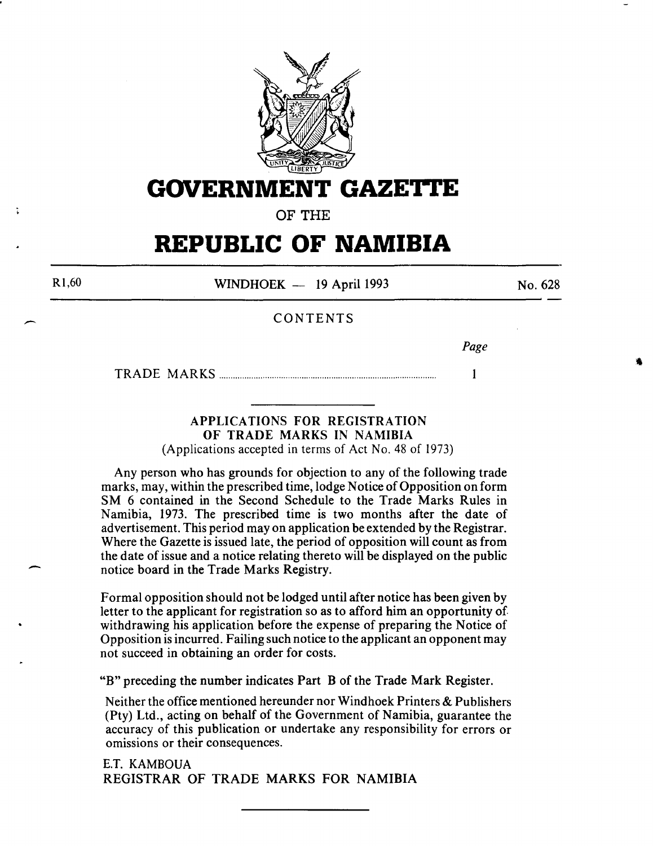

**GOVERNMENT GAZETTE** 

OF THE

## **REPUBLIC OF NAMIBIA**

R1,60

 $\overline{\phantom{a}}$ 

 $\overline{\phantom{a}}$ 

WINDHOEK - 19 April 1993

No. 628

#### CONTENTS

*Page* 

1

TRADE MARKS .............................................................................................. .

#### APPLICATIONS FOR REGISTRATION OF TRADE MARKS IN NAMIBIA (Applications accepted in terms of Act No. 48 of 1973)

Any person who has grounds for objection to any of the following trade marks, may, within the prescribed time, lodge Notice of Opposition on form SM 6 contained in the Second Schedule to the Trade Marks Rules in Namibia, 1973. The prescribed time is two months after the date of advertisement. This period may on application be extended by the Registrar. Where the Gazette is issued late, the period of opposition will count as from the date of issue and a notice relating thereto will be displayed on the public notice board in the Trade Marks Registry.

Formal opposition should not be lodged until after notice has been given by letter to the applicant for registration so as to afford him an opportunity of withdrawing his application before the expense of preparing the Notice of Opposition is incurred. Failing such notice to the applicant an opponent may not succeed in obtaining an order for costs.

"B" preceding the number indicates Part B of the Trade Mark Register.

Neither the office mentioned hereunder nor Windhoek Printers & Publishers (Pty) Ltd., acting on behalf of the Government of Namibia, guarantee the accuracy of this publication or undertake any responsibility for errors or omissions or their consequences.

E.T. KAMBOUA REGISTRAR OF TRADE MARKS FOR NAMIBIA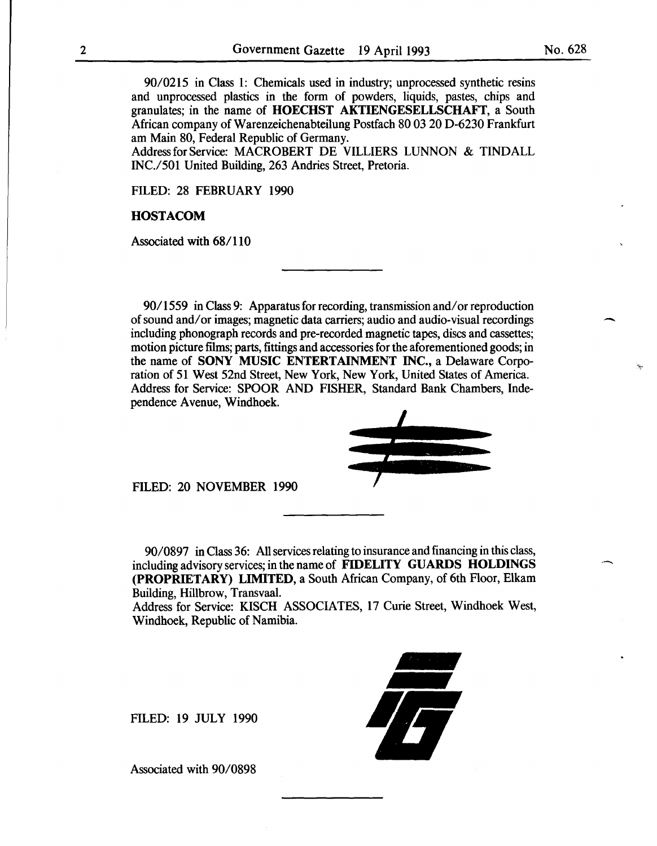90/0215 in Class 1: Chemicals used in industry; unprocessed synthetic resins and unprocessed plastics in the form of powders, liquids, pastes, chips and granulates; in the name of HOECHST AKTIENGESELLSCHAFT, a South African company ofWarenzeichenabteilung Postfach 80 03 20 D-6230 Frankfurt am Main 80, Federal Republic of Germany.

Address for Service: MACROBERT DE VILLIERS LUNNON & TINDALL INC./501 United Building, 263 Andries Street, Pretoria.

FILED: 28 FEBRUARY 1990

#### **HOSTACOM**

Associated with 68/110

90/1559 in Class 9: Apparatus for recording, transmission and/or reproduction of sound and/ or images; magnetic data carriers; audio and audio-visual recordings including phonograph records and pre-recorded magnetic tapes, discs and cassettes; motion picture films; parts, fittings and accessories for the aforementioned goods; in the name of SONY MUSIC ENTERTAINMENT INC., a Delaware Corporation of 51 West 52nd Street, New York, New York, United States of America. Address for Service: SPOOR AND FISHER, Standard Bank Chambers, Independence Avenue, Windhoek.



FILED: 20 NOVEMBER 1990

90/0897 in Class 36: All services relating to insurance and financing in this class, including advisory services; in the name of FIDELITY GUARDS HOLDINGS (PROPRIETARY) LIMITED, a South African Company, of 6th Floor, Elkam Building, Hillbrow, Transvaal.

Address for Service: KISCH ASSOCIATES, 17 Curie Street, Windhoek West, Windhoek, Republic of Namibia.

FILED: 19 JULY 1990



-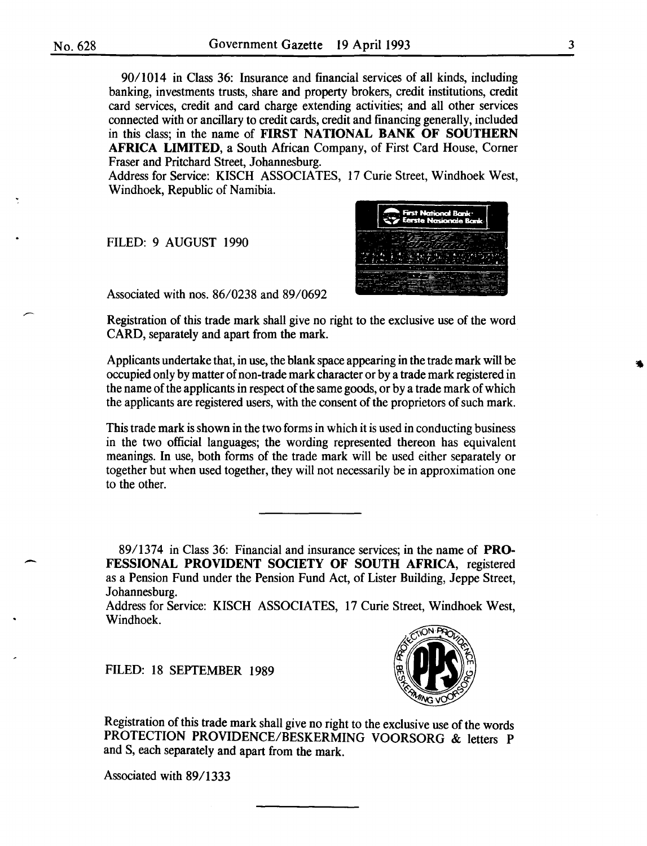$\overline{\phantom{a}}$ 

90/1014 in Class 36: Insurance and financial services of all kinds, including banking, investments trusts, share and property brokers, credit institutions, credit card services, credit and card charge extending activities; and all other services connected with or ancillary to credit cards, credit and financing generally, included in this class; in the name of FIRST NATIONAL BANK OF SOUTHERN AFRICA LIMITED, a South African Company, of First Card House, Corner Fraser and Pritchard Street, Johannesburg.

Address for Service: KISCH ASSOCIATES, 17 Curie Street, Windhoek West, Windhoek, Republic of Namibia.

FILED: 9 AUGUST 1990



Associated with nos. 86/0238 and 89/0692

Registration of this trade mark shall give no right to the exclusive use of the word CARD, separately and apart from the mark.

Applicants undertake that, in use, the blank space appearing in the trade mark will be occupied only by matter of non-trade mark character or by a trade mark registered in the name of the applicants in respect of the same goods, or by a trade mark of which the applicants are registered users, with the consent of the proprietors of such mark.

This trade mark is shown in the two forms in which it is used in conducting business in the two official languages; the wording represented thereon has equivalent meanings. In use, both forms of the trade mark will be used either separately or together but when used together, they will not necessarily be in approximation one to the other.

89/1374 in Class 36: Financial and insurance services; in the name of PRO-FESSIONAL PROVIDENT SOCIETY OF SOUTH AFRICA, registered as a Pension Fund under the Pension Fund Act, of Lister Building, Jeppe Street, Johannesburg.

Address for Service: KISCH ASSOCIATES, 17 Curie Street, Windhoek West, Windhoek.

FILED: 18 SEPTEMBER 1989



Registration of this trade mark shall give no right to the exclusive use of the words PROTECTION PROVIDENCE/BESKERMING VOORSORG & letters P and S, each separately and apart from the mark.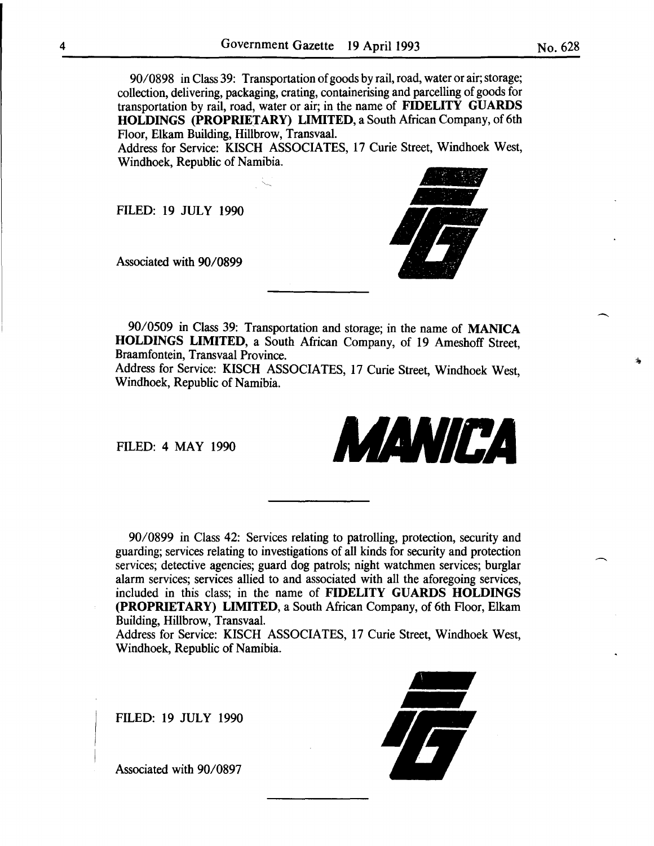90/0898 in Class 39: Transportation of goods by rail, road, water or air; storage; collection, delivering, packaging, crating, containerising and parcelling of goods for transportation by rail, road, water or air; in the name of FIDELITY GUARDS HOLDINGS (PROPRIETARY) LIMITED, a South African Company, of 6th Floor, Elkam Building, Hillbrow, Transvaal.

Address for Service: KISCH ASSOCIATES, 17 Curie Street, Windhoek West, Windhoek, Republic of Namibia.

FILED: 19 JULY 1990

Associated with 90/0899



90/0509 in Class 39: Transportation and storage; in the name of MANICA HOLDINGS LIMITED, a South African Company, of 19 Ameshoff Street, Braamfontein, Transvaal Province.

Address for Service: KISCH ASSOCIATES, 17 Curie Street, Windhoek West, Windhoek, Republic of Namibia.

FILED: 4 MAY 1990



90/0899 in Class 42: Services relating to patrolling, protection, security and guarding; services relating to investigations of all kinds for security and protection services; detective agencies; guard dog patrols; night watchmen services; burglar alarm services; services allied to and associated with all the aforegoing services, included in this class; in the name of FIDELITY GUARDS HOLDINGS (PROPRIETARY) LIMITED, a South African Company, of 6th Floor, Elkam Building, Hillbrow, Transvaal.

Address for Service: KISCH ASSOCIATES, 17 Curie Street, Windhoek West, Windhoek, Republic of Namibia.

FILED: 19 JULY 1990



No. 628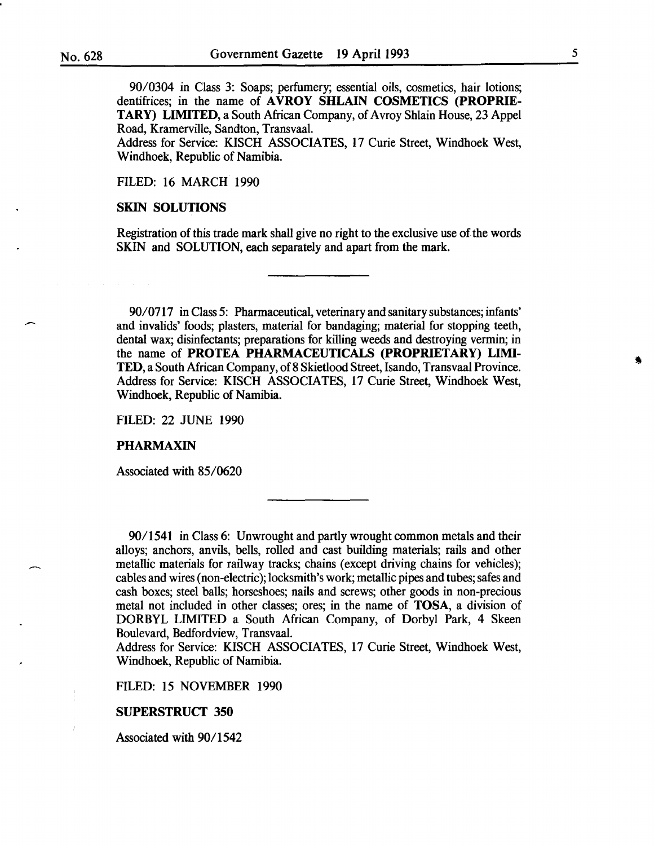90/0304 in Class 3: Soaps; perfumery; essential oils, cosmetics, hair lotions; dentifrices; in the name of AVROY SHLAIN COSMETICS (PROPRIE-TARY) LIMITED, a South African Company, of A vroy Shlain House, 23 Appel Road, Kramerville, Sandton, Transvaal.

Address for Service: KISCH ASSOCIATES, 17 Curie Street, Windhoek West, Windhoek, Republic of Namibia.

FILED: 16 MARCH 1990

#### SKIN SOLUTIONS

Registration of this trade mark shall give no right to the exclusive use of the words SKIN and SOLUTION, each separately and apart from the mark.

90/0717 in Class 5: Pharmaceutical, veterinary and sanitary substances; infants' and invalids' foods; plasters, material for bandaging; material for stopping teeth, dental wax; disinfectants; preparations for killing weeds and destroying vermin; in the name of PROTEA PHARMACEUTICALS (PROPRIETARY) LIMI-TED, a South African Company, of 8 Skietlood Street, Isando, Transvaal Province. Address for Service: KISCH ASSOCIATES, 17 Curie Street, Windhoek West, Windhoek, Republic of Namibia.

FILED: 22 JUNE 1990

#### PHARMAXIN

Associated with 85/0620

90/1541 in Class 6: Unwrought and partly wrought common metals and their alloys; anchors, anvils, bells, rolled and cast building materials; rails and other metallic materials for railway tracks; chains (except driving chains for vehicles); cables and wires (non-electric); locksmith's work; metallic pipes and tubes; safes and cash boxes; steel balls; horseshoes; nails and screws; other goods in non-precious metal not included in other classes; ores; in the name of TOSA, a division of DORBYL LIMITED a South African Company, of Dorbyl Park, 4 Skeen Boulevard, Bedfordview, Transvaal.

Address for Service: KISCH ASSOCIATES, 17 Curie Street, Windhoek West, Windhoek, Republic of Namibia.

FILED: 15 NOVEMBER 1990

#### SUPERSTRUCT 350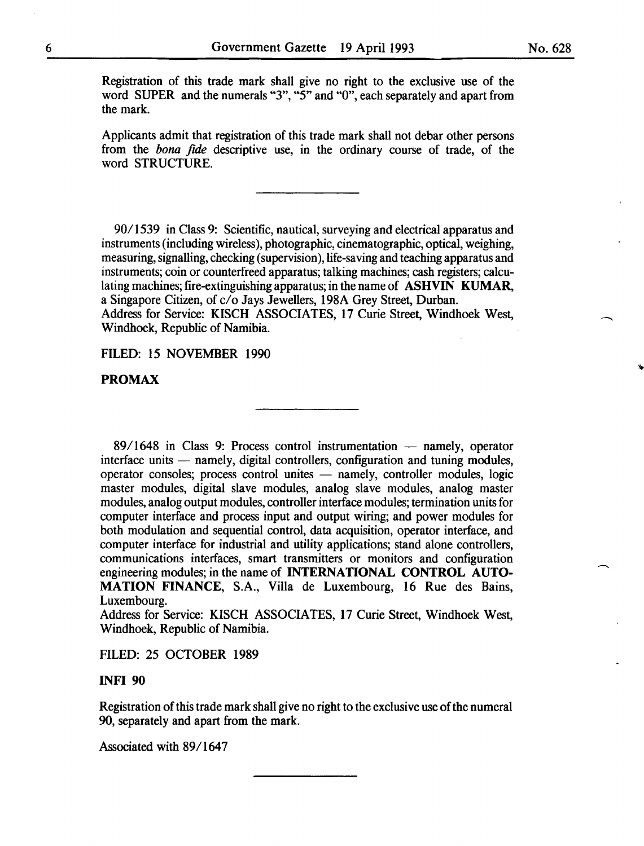Registration of this trade mark shall give no right to the exclusive use of the word SUPER and the numerals "3", "5" and "0", each separately and apart from the mark.

Applicants admit that registration of this trade mark shall not debar other persons from the *bona fide* descriptive use, in the ordinary course of trade, of the word STRUCTURE.

90/1539 in Class 9: Scientific, nautical, surveying and electrical apparatus and instruments (including wireless), photographic, cinematographic, optical, weighing, measuring, signalling, checking (supervision), life-saving and teaching apparatus and instruments; coin or counterfreed apparatus; talking machines; cash registers; calculating machines; fire-extinguishing apparatus; in the name of **ASHVIN KUMAR**, a Singapore Citizen, of c/o Jays Jewellers, 198A Grey Street, Durban. Address for Service: KISCH ASSOCIATES, 17 Curie Street, Windhoek West, Windhoek, Republic of Namibia.

FILED: 15 NOVEMBER 1990

#### **PROMAX**

 $89/1648$  in Class 9: Process control instrumentation  $-$  namely, operator interface units - namely, digital controllers, configuration and tuning modules, operator consoles; process control unites - namely, controller modules, logic master modules, digital slave modules, analog slave modules, analog master modules, analog output modules, controller interface modules; termination units for computer interface and process input and output wiring; and power modules for both modulation and sequential control, data acquisition, operator interface, and computer interface for industrial and utility applications; stand alone controllers, communications interfaces, smart transmitters or monitors and configuration engineering modules; in the name of INTERNATIONAL CONTROL AUTO-MATION FINANCE, S.A., Villa de Luxembourg, 16 Rue des Bains, Luxembourg.

Address for Service: KISCH ASSOCIATES, 17 Curie Street, Windhoek West, Windhoek, Republic of Namibia.

FILED: 25 OCTOBER 1989

#### INFI 90

Registration of this trade mark shall give no right to the exclusive use of the numeral 90, separately and apart from the mark.

Associated with 89/1647

 $\overline{\phantom{a}}$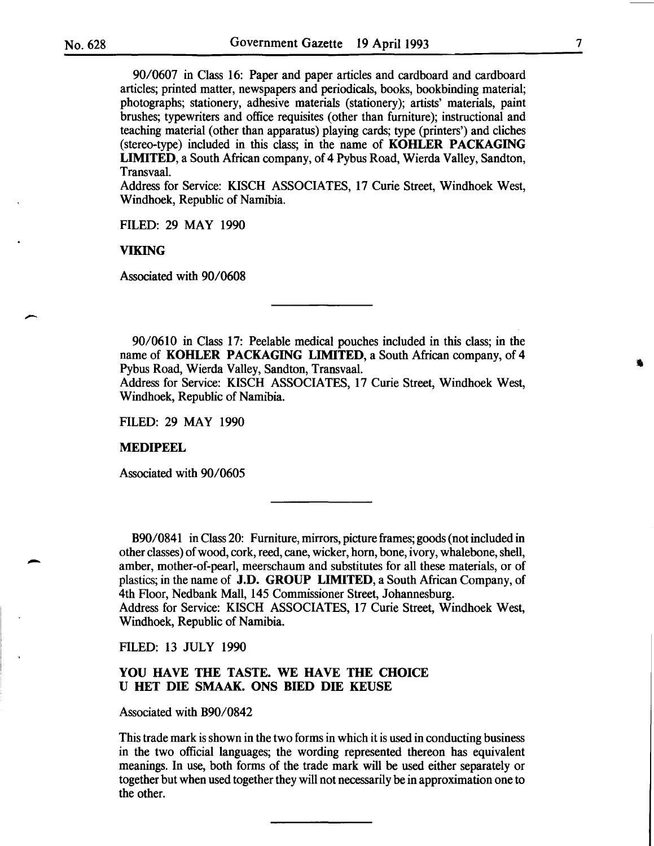-

-

90/0607 in Class 16: Paper and paper articles and cardboard and cardboard articles; printed matter, newspapers and periodicals, books, bookbinding material; photographs; stationery, adhesive materials (stationery); artists' materials, paint brushes; typewriters and office requisites (other than furniture); instructional and teaching material (other than apparatus) playing cards; type (printers') and cliches (stereo-type) included in this class; in the name of KOHLER PACKAGING LIMITED, a South African company, of 4 Pybus Road, Wierda Valley, Sandton, Transvaal.

Address for Service: KISCH ASSOCIATES, 17 Curie Street, Windhoek West, Windhoek, Republic of Namibia.

FILED: 29 MAY 1990

VIKING

Associated with 90/0608

90/0610 in Class 17: Peelable medical pouches included in this class; in the name of KOHLER PACKAGING LIMITED, a South African company, of 4 Pybus Road, Wierda Valley, Sandton, Transvaal. Address for Service: KISCH ASSOCIATES, 17 Curie Street, Windhoek West,

Windhoek, Republic of Namibia.

FILED: 29 MAY 1990

#### MEDIPEEL

Associated with 90/0605

B90/0841 in Class 20: Furniture, mirrors, picture frames; goods (not included in other classes) of wood, cork, reed, cane, wicker, hom, bone, ivory, whalebone, shell, amber, mother-of-pearl, meerschaum and substitutes for all these materials, or of plastics; in the name of J.D. GROUP LIMITED, a South African Company, of 4th Floor, Nedbank Mall, 145 Commissioner Street, Johannesburg. Address for Service: KISCH ASSOCIATES, 17 Curie Street, Windhoek West,

Windhoek, Republic of Namibia.

FILED: 13 JULY 1990

#### YOU HAVE THE TASTE. WE HAVE THE CHOICE U HET DIE SMAAK. ONS BlED DIE KEUSE

Associated with B90/0842

This trade mark is shown in the two forms in which it is used in conducting business in the two official languages; the wording represented thereon has equivalent meanings. In use, both forms of the trade mark will be used either separately or together but when used together they will not necessarily be in approximation one to the other.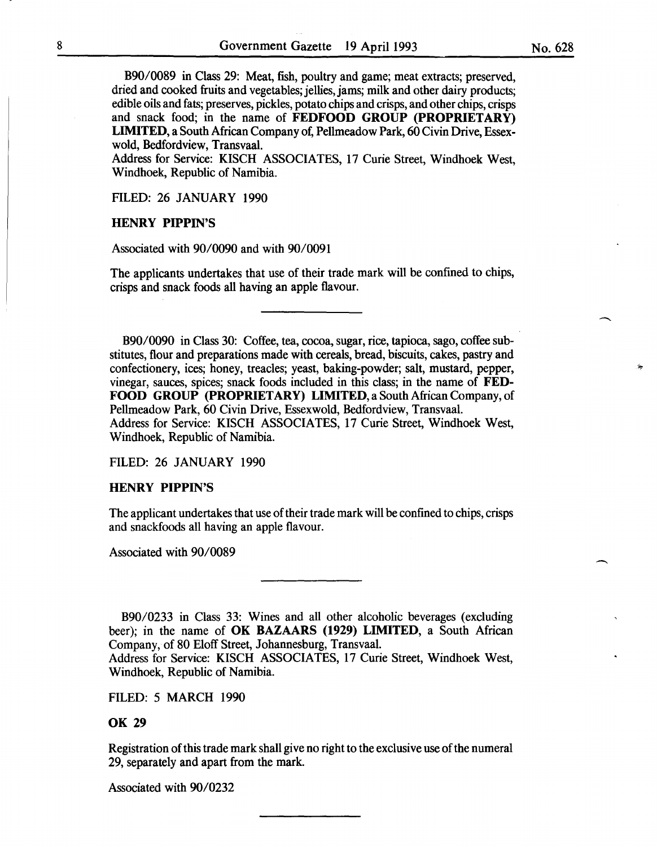B90/0089 in Class 29: Meat, fish, poultry and game; meat extracts; preserved, dried and cooked fruits and vegetables; jellies, jams; milk and other dairy products; edible oils and fats; preserves, pickles, potato chips and crisps, and other chips, crisps and snack food; in the name of **FEDFOOD GROUP (PROPRIETARY) LIMITED,** a South African Company of, Pellmeadow Park, 60 Civin Drive, Essexwold, Bedfordview, Transvaal.

Address for Service: KISCH ASSOCIATES, 17 Curie Street, Windhoek West, Windhoek, Republic of Namibia.

FILED: 26 JANUARY 1990

#### **HENRY PIPPIN'S**

Associated with 90/0090 and with 90/0091

The applicants undertakes that use of their trade mark will be confined to chips, crisps and snack foods all having an apple flavour.

B90/0090 in Class 30: Coffee, tea, cocoa, sugar, rice, tapioca, sago, coffee substitutes, flour and preparations made with cereals, bread, biscuits, cakes, pastry and confectionery, ices; honey, treacles; yeast, baking-powder; salt, mustard, pepper, vinegar, sauces, spices; snack foods included in this class; in the name of **FED-FOOD GROUP (PROPRIETARY) LIMITED,** a South African Company, of Pellmeadow Park, 60 Civin Drive, Essexwold, Bedfordview, Transvaal. Address for Service: KISCH ASSOCIATES, 17 Curie Street, Windhoek West, Windhoek, Republic of Namibia.

FILED: 26 JANUARY 1990

#### **HENRY PIPPIN'S**

The applicant undertakes that use of their trade mark will be confined to chips, crisps and snackfoods all having an apple flavour.

Associated with 90/0089

B90/0233 in Class 33: Wines and all other alcoholic beverages (excluding beer); in the name of **OK BAZAARS (1929) LIMITED,** a South African Company, of 80 Eloff Street, Johannesburg, Transvaal.

Address for Service: KISCH ASSOCIATES, 17 Curie Street, Windhoek West, Windhoek, Republic of Namibia.

FILED: 5 MARCH 1990

#### **OK 29**

Registration of this trade mark shall give no right to the exclusive use of the numeral 29, separately and apart from the mark.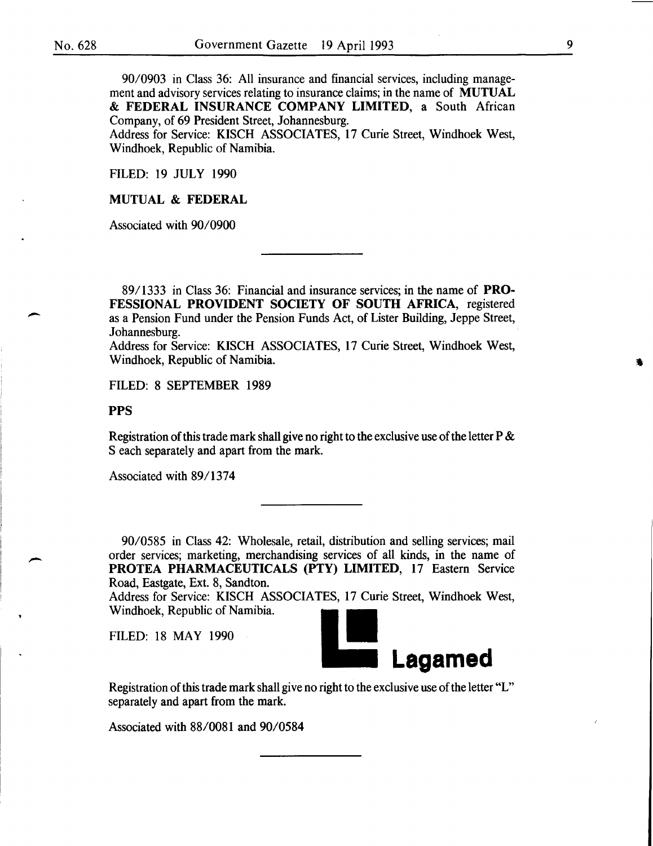-

-

90/0903 in Class 36: All insurance and financial services, including management and advisory services relating to insurance claims; in the name of MUTUAL & FEDERAL INSURANCE COMPANY LIMITED, a South African Company, of 69 President Street, Johannesburg.

Address for Service: KISCH ASSOCIATES, 17 Curie Street, Windhoek West, Windhoek, Republic of Namibia.

FILED: 19 JULY 1990

MUTUAL & FEDERAL

Associated with 90/0900

89/1333 in Class 36: Financial and insurance services; in the name of PRO-FESSIONAL PROVIDENT SOCIETY OF SOUTH AFRICA, registered as a Pension Fund under the Pension Funds Act, of Lister Building, Jeppe Street, Johannesburg.

Address for Service: KISCH ASSOCIATES, 17 Curie Street, Windhoek West, Windhoek, Republic of Namibia.

FILED: 8 SEPTEMBER 1989

#### PPS

Registration of this trade mark shall give no right to the exclusive use of the letter P & S each separately and apart from the mark.

Associated with 89/1374

90/0585 in Class 42: Wholesale, retail, distribution and selling services; mail order services; marketing, merchandising services of all kinds, in the name of PROTEA PHARMACEUTICALS (PTY) LIMITED, 17 Eastern Service Road, Eastgate, Ext. 8, Sandton.

Address for Service: KISCH ASSOCIATES, 17 Curie Street, Windhoek West, Windhoek, Republic of Namibia.

FILED: 18 MAY 1990



Registration of this trade mark shall give no right to the exclusive use of the letter "L" separately and apart from the mark.

Associated with 88/0081 and 90/0584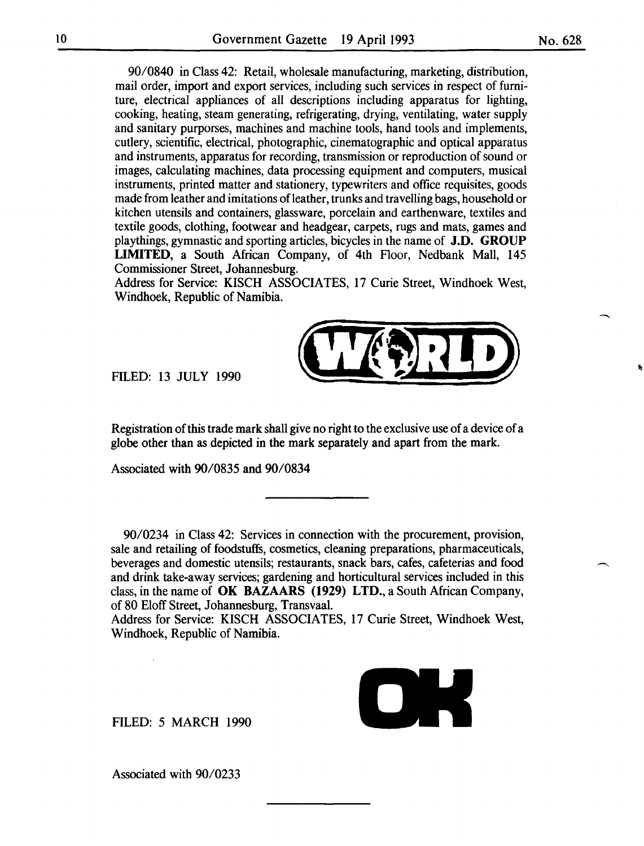90/0840 in Class 42: Retail, wholesale manufacturing, marketing, distribution, mail order, import and export services, including such services in respect of furniture, electrical appliances of all descriptions including apparatus for lighting, cooking, heating, steam generating, refrigerating, drying, ventilating, water supply and sanitary purporses, machines and machine tools, hand tools and implements, cutlery, scientific, electrical, photographic, cinematographic and optical apparatus and instruments, apparatus for recording, transmission or reproduction of sound or images, calculating machines, data processing equipment and computers, musical instruments, printed matter and stationery, typewriters and office requisites, goods made from leather and imitations of leather, trunks and travelling bags, household or kitchen utensils and containers, glassware, porcelain and earthenware, textiles and textile goods, clothing, footwear and headgear, carpets, rugs and mats, games and playthings, gymnastic and sporting articles, bicycles in the name of J.D. GROUP LIMITED, a South African Company, of 4th Floor, Nedbank Mall, 145 Commissioner Street, Johannesburg.

Address for Service: KISCH ASSOCIATES, 17 Curie Street, Windhoek West, Windhoek, Republic of Namibia.



globe other than as depicted in the mark separately and apart from the mark.

Associated with 90/0835 and 90/0834

FILED: 13 JULY 1990

90/0234 in Class 42: Services in connection with the procurement, provision, sale and retailing of foodstuffs, cosmetics, cleaning preparations, pharmaceuticals, beverages and domestic utensils; restaurants, snack bars, cafes, cafeterias and food and drink take-away services; gardening and horticultural services included in this class, in the name of OK BAZAARS (1929) LTD., a South African Company, of 80 Eloff Street, Johannesburg, Transvaal.

Address for Service: KISCH ASSOCIATES, 17 Curie Street, Windhoek West, Windhoek, Republic of Namibia.

FILED: 5 MARCH 1990

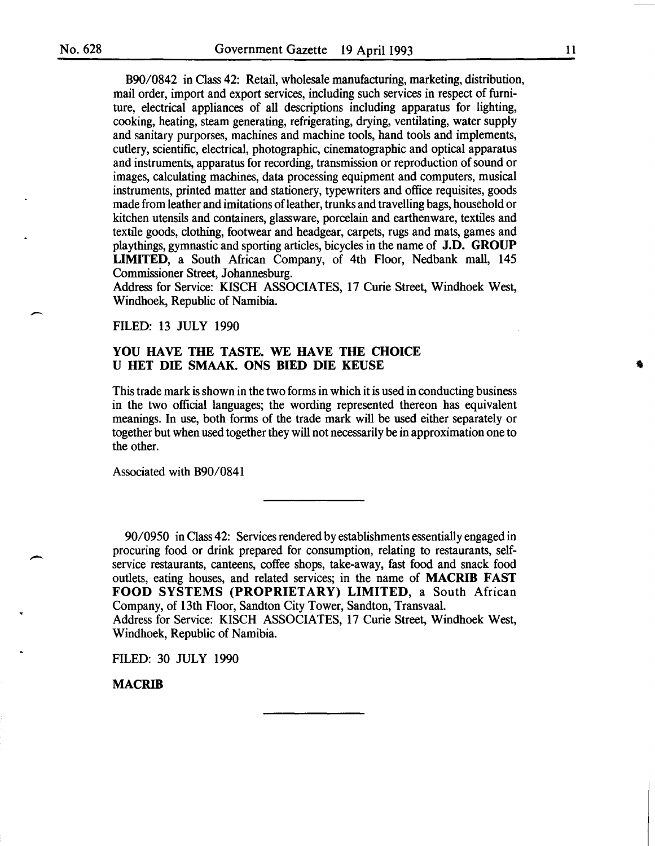$\overline{\phantom{0}}$ 

-

B90/0842 in Class 42: Retail, wholesale manufacturing, marketing, distribution, mail order, import and export services, including such services in respect of furniture, electrical appliances of all descriptions including apparatus for lighting, cooking, heating, steam generating, refrigerating, drying, ventilating, water supply and sanitary purporses, machines and machine tools, hand tools and implements, cutlery, scientific, electrical, photographic, cinematographic and optical apparatus and instruments, apparatus for recording, transmission or reproduction of sound or images, calculating machines, data processing equipment and computers, musical instruments, printed matter and stationery, typewriters and office requisites, goods made from leather and imitations of leather, trunks and travelling bags, household or kitchen utensils and containers, glassware, porcelain and earthenware, textiles and textile goods, clothing, footwear and headgear, carpets, rugs and mats, games and playthings, gymnastic and sporting articles, bicycles in the name of J.D. GROUP LIMITED, a South African Company, of 4th Floor, Nedbank mall, 145 Commissioner Street, Johannesburg.

Address for Service: KISCH ASSOCIATES, 17 Curie Street, Windhoek West, Windhoek, Republic of Namibia.

FILED: 13 JULY 1990

#### YOU HAVE THE TASTE. WE HAVE THE CHOICE U HET DIE SMAAK. ONS BlED DIE KEUSE

This trade mark is shown in the two forms in which it is used in conducting business in the two official languages; the wording represented thereon has equivalent meanings. In use, both forms of the trade mark will be used either separately or together but when used together they will not necessarily be in approximation one to the other.

Associated with B90/0841

90/0950 in Class 42: Services rendered by establishments essentially engaged in procuring food or drink prepared for consumption, relating to restaurants, selfservice restaurants, canteens, coffee shops, take-away, fast food and snack food outlets, eating houses, and related services; in the name of MACRIB FAST FOOD SYSTEMS (PROPRIETARY) LIMITED, a South African Company, of 13th Floor, Sandton City Tower, Sandton, Transvaal. Address for Service: KISCH ASSOCIATES, 17 Curie Street, Windhoek West,

Windhoek, Republic of Namibia.

FILED: 30 JULY 1990

MACRIB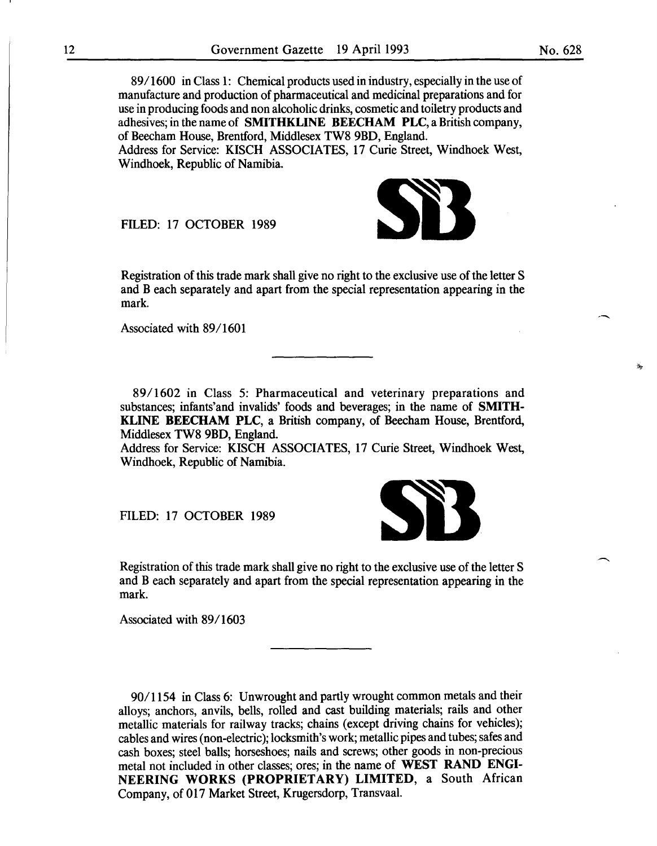89/1600 in Class 1: Chemical products used in industry, especially in the use of manufacture and production of pharmaceutical and medicinal preparations and for use in producing foods and non alcoholic drinks, cosmetic and toiletry products and adhesives; in the name of SMITHKLINE BEECHAM PLC, a British company, of Beecham House, Brentford, Middlesex TW8 9BD, England. Address for Service: KISCH ASSOCIATES, 17 Curie Street, Windhoek West,

Windhoek, Republic of Namibia.

FILED: 17 OCTOBER 1989

Registration of this trade mark shall give no right to the exclusive use of the letter S and Beach separately and apart from the special representation appearing in the mark.

Associated with 89/1601

89/1602 in Class 5: Pharmaceutical and veterinary preparations and substances; infants'and invalids' foods and beverages; in the name of SMITH-KLINE BEECHAM PLC, a British company, of Beecham House, Brentford, Middlesex TW8 9BD, England.

Address for Service: KISCH ASSOCIATES, 17 Curie Street, Windhoek West, Windhoek, Republic of Namibia.

FILED: 17 OCTOBER 1989

Registration of this trade mark shall give no right to the exclusive use of the letter S and B each separately and apart from the special representation appearing in the mark.

Associated with 89/1603

90/1154 in Class 6: Unwrought and partly wrought common metals and their alloys; anchors, anvils, bells, rolled and cast building materials; rails and other metallic materials for railway tracks; chains (except driving chains for vehicles); cables and wires (non-electric); locksmith's work; metallic pipes and tubes; safes and cash boxes; steel balls; horseshoes; nails and screws; other goods in non-precious metal not included in other classes; ores; in the name of WEST RAND ENGI-NEERING WORKS (PROPRIETARY) LIMITED, a South African Company, of 017 Market Street, Krugersdorp, Transvaal.

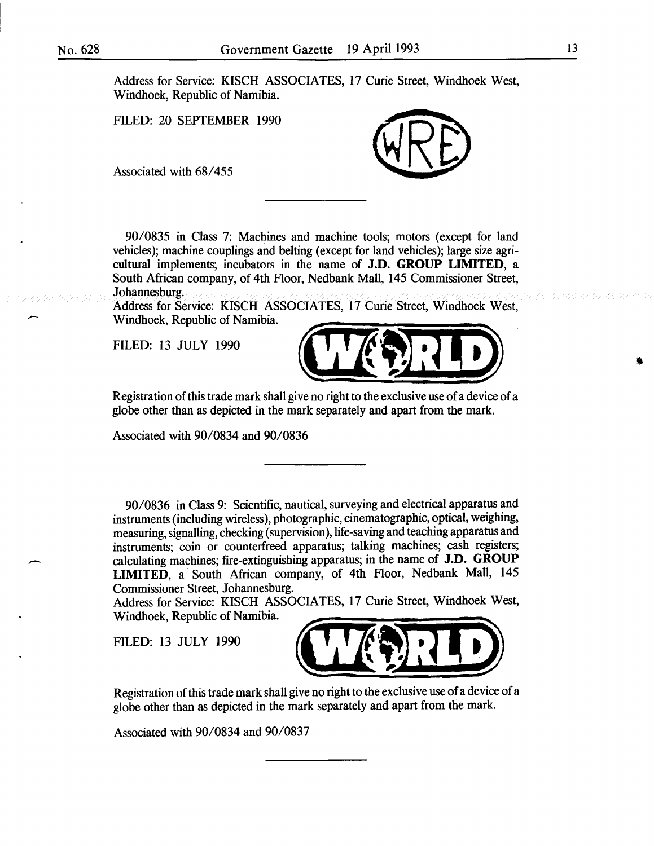$\zeta$ 

-

Address for Service: KISCH ASSOCIATES, 17 Curie Street, Windhoek West, Windhoek, Republic of Namibia.

FILED: 20 SEPTEMBER 1990

Associated with 68/455



90/0835 in Class 7: Machines and machine tools; motors (except for land vehicles); machine couplings and belting (except for land vehicles); large size agricultural implements; incubators in the name of **J.D. GROUP LIMITED,** a South African company, of 4th Floor, Nedbank Mall, 145 Commissioner Street, Johannesburg.

Address for Service: KISCH ASSOCIATES, 17 Curie Street, Windhoek West, Windhoek, Republic of Namibia.

FILED: 13 JULY 1990



Registration of this trade mark shall give no right to the exclusive use of a device of a globe other than as depicted in the mark separately and apart from the mark.

Associated with 90/0834 and 90/0836

90/0836 in Class 9: Scientific, nautical, surveying and electrical apparatus and instruments (including wireless), photographic, cinematographic, optical, weighing, measuring, signalling, checking (supervision), life-saving and teaching apparatus and instruments; coin or counterfreed apparatus; talking machines; cash registers; calculating machines; fire-extinguishing apparatus; in the name of **J.D. GROUP LIMITED,** a South African company, of 4th Floor, Nedbank Mall, 145 Commissioner Street, Johannesburg.

Address for Service: KISCH ASSOCIATES, 17 Curie Street, Windhoek West, Windhoek, Republic of Namibia.

FILED: 13 JULY 1990



Registration of this trade mark shall give no right to the exclusive use of a device of a globe other than as depicted in the mark separately and apart from the mark.

Associated with 90/0834 and 90/0837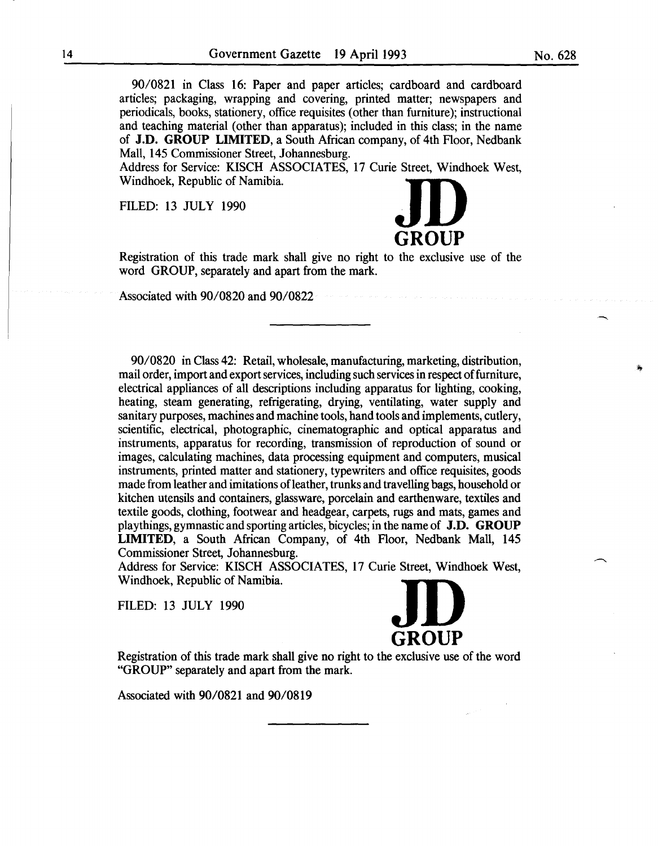90/0821 in Class 16: Paper and paper articles; cardboard and cardboard articles; packaging, wrapping and covering, printed matter; newspapers and periodicals, books, stationery, office requisites (other than furniture); instructional and teaching material (other than apparatus); included in this class; in the name of **J.D. GROUP LIMITED,** a South African company, of 4th Floor, Nedbank Mall, 145 Commissioner Street, Johannesburg.

Address for Service: KISCH ASSOCIATES, 17 Curie Street, Windhoek West, of **J.D. GNOUP LIMITED**, a South Afficial company, of 4th Floor, P.<br>Mall, 145 Commissioner Street, Johannesburg.<br>Address for Service: KISCH ASSOCIATES, 17 Curie Street, Windhoe<br>Windhoek, Republic of Namibia.

FILED: 13 JULY 1990



Registration of this trade mark shall give no right to the exclusive use of the word GROUP, separately and apart from the mark.

Associated with 90/0820 and 90/0822

90/0820 in Class 42: Retail, wholesale, manufacturing, marketing, distribution, mail order, import and export services, including such services in respect of furniture, electrical appliances of all descriptions including apparatus for lighting, cooking, heating, steam generating, refrigerating, drying, ventilating, water supply and sanitary purposes, machines and machine tools, hand tools and implements, cutlery, scientific, electrical, photographic, cinematographic and optical apparatus and instruments, apparatus for recording, transmission of reproduction of sound or images, calculating machines, data processing equipment and computers, musical instruments, printed matter and stationery, typewriters and office requisites, goods made from leather and imitations of leather, trunks and travelling bags, household or kitchen utensils and containers, glassware, porcelain and earthenware, textiles and textile goods, clothing, footwear and headgear, carpets, rugs and mats, games and playthings, gymnastic and sporting articles, bicycles; in the name of **J.D. GROUP LIMITED,** a South African Company, of 4th Floor, Nedbank Mall, 145 Commissioner Street, Johannesburg.

Address for Service: KISCH ASSOCIATES, 17 Curie Street, Windhoek West, Windhoek, Republic of Namibia.



Registration of this trade mark shall give no right to the exclusive use of the word "GROUP" separately and apart from the mark.

Associated with 90/0821 and 90/0819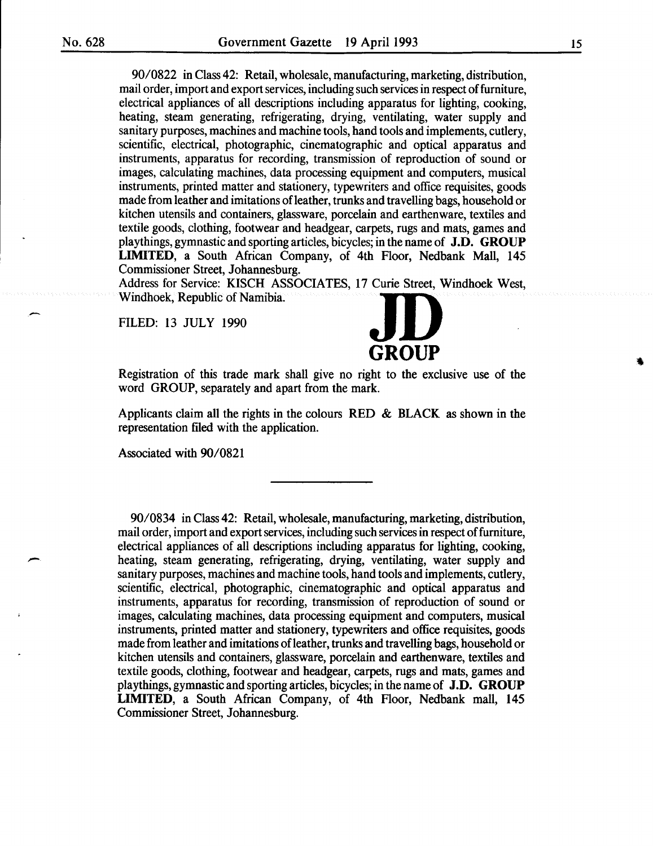-

90/0822 in Class 42: Retail, wholesale, manufacturing, marketing, distribution, mail order, import and export services, including such services in respect of furniture, electrical appliances of all descriptions including apparatus for lighting, cooking, heating, steam generating, refrigerating, drying, ventilating, water supply and sanitary purposes, machines and machine tools, hand tools and implements, cutlery, scientific, electrical, photographic, cinematographic and optical apparatus and instruments, apparatus for recording, transmission of reproduction of sound or images, calculating machines, data processing equipment and computers, musical instruments, printed matter and stationery, typewriters and office requisites, goods made from leather and imitations ofleather, trunks and travelling bags, household or kitchen utensils and containers, glassware, porcelain and earthenware, textiles and textile goods, clothing, footwear and headgear, carpets, rugs and mats, games and playthings, gymnastic and sporting articles, bicycles; in the name of J.D. GROUP LIMITED, a South African Company, of 4th Floor, Nedbank Mall, 145 Commissioner Street, Johannesburg.

Address for Service: KISCH ASSOCIATES, 17 Curie Street, Windhoek West, LINITED, a South African Company, of 4th Floor, Nedban<br>Commissioner Street, Johannesburg.<br>Address for Service: KISCH ASSOCIATES, 17 Curie Street, Wir<br>Windhoek, Republic of Namibia.

FILED: 13 JULY 1990

# **GROUP**

Registration of this trade mark shall give no right to the exclusive use of the word GROUP, separately and apart from the mark.

Applicants claim all the rights in the colours RED & BLACK as shown in the representation filed with the application.

Associated with 90/0821

90/0834 in Class 42: Retail, wholesale, manufacturing, marketing, distribution, mail order, import and export services, including such services in respect of furniture, electrical appliances of all descriptions including apparatus for lighting, cooking, heating, steam generating, refrigerating, drying, ventilating, water supply and sanitary purposes, machines and machine tools, hand tools and implements, cutlery, scientific, electrical, photographic, cinematographic and optical apparatus and instruments, apparatus for recording, transmission of reproduction of sound or images, calculating machines, data processing equipment and computers, musical instruments, printed matter and stationery, typewriters and office requisites, goods made from leather and imitations of leather, trunks and travelling bags, household or kitchen utensils and containers, glassware, porcelain and earthenware, textiles and textile goods, clothing, footwear and headgear, carpets, rugs and mats, games and playthings, gymnastic and sporting articles, bicycles; in the name of J.D. GROUP LIMITED, a South African Company, of 4th Floor, Nedbank mall, 145 Commissioner Street, Johannesburg.